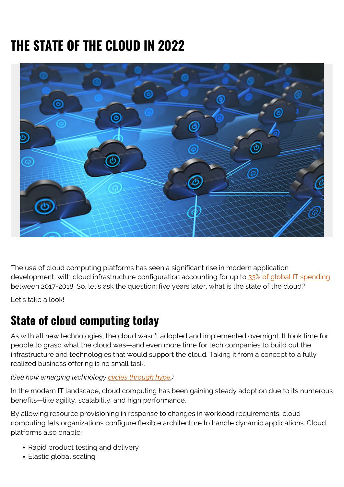# **THE STATE OF THE CLOUD IN 2022**



The use of cloud computing platforms has seen a significant rise in modern application development, with cloud infrastructure configuration accounting for up to [33% of global IT spending](https://www.zdnet.com/article/it-budgets-2017-18-what-the-surveys-tell-us/) between 2017-2018. So, let's ask the question: five years later, what is the state of the cloud?

Let's take a look!

### **State of cloud computing today**

As with all new technologies, the cloud wasn't adopted and implemented overnight. It took time for people to grasp what the cloud was—and even more time for tech companies to build out the infrastructure and technologies that would support the cloud. Taking it from a concept to a fully realized business offering is no small task.

#### *(See how emerging technology [cycles through hype](https://blogs.bmc.com/blogs/gartner-hype-cycle/).)*

In the modern IT landscape, cloud computing has been gaining steady adoption due to its numerous benefits—like agility, scalability, and high performance.

By allowing resource provisioning in response to changes in workload requirements, cloud computing lets organizations configure flexible architecture to handle dynamic applications. Cloud platforms also enable:

- Rapid product testing and delivery
- Elastic global scaling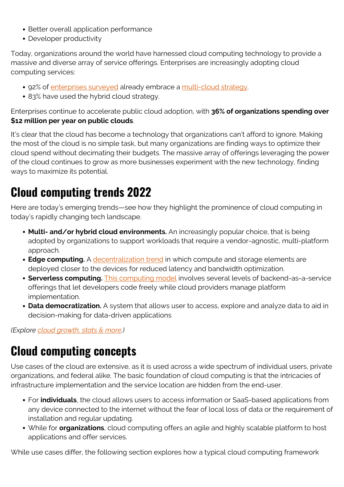- Better overall application performance
- Developer productivity

Today, organizations around the world have harnessed cloud computing technology to provide a massive and diverse array of service offerings. Enterprises are increasingly adopting cloud computing services:

- 92% of [enterprises surveyed](https://www.flexera.com/blog/cloud/cloud-computing-trends-2021-state-of-the-cloud-report/) already embrace a [multi-cloud strategy](https://blogs.bmc.com/blogs/multi-cloud-strategy/).
- 83% have used the hybrid cloud strategy.

Enterprises continue to accelerate public cloud adoption, with **36% of organizations spending over \$12 million per year on public clouds**.

It's clear that the cloud has become a technology that organizations can't afford to ignore. Making the most of the cloud is no simple task, but many organizations are finding ways to optimize their cloud spend without decimating their budgets. The massive array of offerings leveraging the power of the cloud continues to grow as more businesses experiment with the new technology, finding ways to maximize its potential.

## **Cloud computing trends 2022**

Here are today's emerging trends—see how they highlight the prominence of cloud computing in today's rapidly changing tech landscape.

- **Multi- and/or hybrid cloud environments.** An increasingly popular choice, that is being adopted by organizations to support workloads that require a vendor-agnostic, multi-platform approach.
- **Edge computing.** A [decentralization trend](https://blogs.bmc.com/blogs/edge-computing/) in which compute and storage elements are deployed closer to the devices for reduced latency and bandwidth optimization.
- **Serverless computing.** [This computing model](https://blogs.bmc.com/blogs/serverless-computing/) involves several levels of backend-as-a-service offerings that let developers code freely while cloud providers manage platform implementation.
- **Data democratization.** A system that allows user to access, explore and analyze data to aid in decision-making for data-driven applications

*(Explore [cloud growth, stats & more](https://blogs.bmc.com/blogs/state-of-cloud/).)*

## **Cloud computing concepts**

Use cases of the cloud are extensive, as it is used across a wide spectrum of individual users, private organizations, and federal alike. The basic foundation of cloud computing is that the intricacies of infrastructure implementation and the service location are hidden from the end-user.

- For **individuals**, the cloud allows users to access information or SaaS-based applications from any device connected to the internet without the fear of local loss of data or the requirement of installation and regular updating.
- While for **organizations**, cloud computing offers an agile and highly scalable platform to host applications and offer services.

While use cases differ, the following section explores how a typical cloud computing framework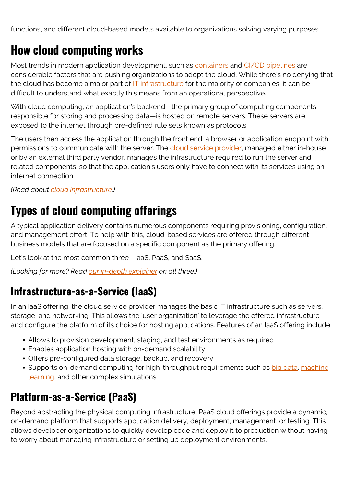functions, and different cloud-based models available to organizations solving varying purposes.

## **How cloud computing works**

Most trends in modern application development, such as **containers** and [CI/CD pipelines](https://blogs.bmc.com/blogs/ci-cd-pipeline-setup) are considerable factors that are pushing organizations to adopt the cloud. While there's no denying that the cloud has become a major part of **IT** infrastructure for the majority of companies, it can be difficult to understand what exactly this means from an operational perspective.

With cloud computing, an application's backend—the primary group of computing components responsible for storing and processing data—is hosted on remote servers. These servers are exposed to the internet through pre-defined rule sets known as protocols.

The users then access the application through the front end: a browser or application endpoint with permissions to communicate with the server. The [cloud service provider](https://blogs.bmc.com/blogs/csp-cloud-service-providers/), managed either in-house or by an external third party vendor, manages the infrastructure required to run the server and related components, so that the application's users only have to connect with its services using an internet connection.

*(Read about [cloud infrastructure.](https://blogs.bmc.com/blogs/cloud-infrastructure/))*

## **Types of cloud computing offerings**

A typical application delivery contains numerous components requiring provisioning, configuration, and management effort. To help with this, cloud-based services are offered through different business models that are focused on a specific component as the primary offering.

Let's look at the most common three—IaaS, PaaS, and SaaS.

*(Looking for more? Read [our in-depth explainer](https://blogs.bmc.com/blogs/saas-vs-paas-vs-iaas-whats-the-difference-and-how-to-choose/) on all three.)*

#### **Infrastructure-as-a-Service (IaaS)**

In an IaaS offering, the cloud service provider manages the basic IT infrastructure such as servers, storage, and networking. This allows the 'user organization' to leverage the offered infrastructure and configure the platform of its choice for hosting applications. Features of an IaaS offering include:

- Allows to provision development, staging, and test environments as required
- Enables application hosting with on-demand scalability
- Offers pre-configured data storage, backup, and recovery
- Supports on-demand computing for high-throughput requirements such as [big data](https://blogs.bmc.com/blogs/big-data/), [machine](https://blogs.bmc.com/blogs/artificial-intelligence-vs-machine-learning/) [learning,](https://blogs.bmc.com/blogs/artificial-intelligence-vs-machine-learning/) and other complex simulations

### **Platform-as-a-Service (PaaS)**

Beyond abstracting the physical computing infrastructure, PaaS cloud offerings provide a dynamic, on-demand platform that supports application delivery, deployment, management, or testing. This allows developer organizations to quickly develop code and deploy it to production without having to worry about managing infrastructure or setting up deployment environments.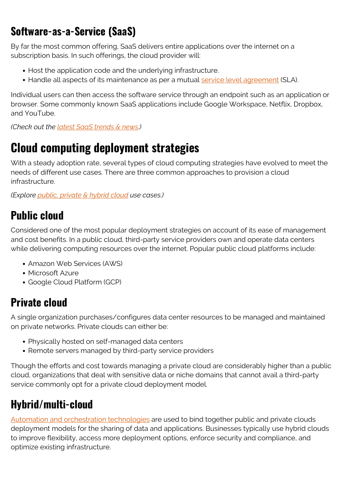#### **Software-as-a-Service (SaaS)**

By far the most common offering, SaaS delivers entire applications over the internet on a subscription basis. In such offerings, the cloud provider will:

- Host the application code and the underlying infrastructure.
- Handle all aspects of its maintenance as per a mutual [service level agreement](https://blogs.bmc.com/blogs/sla-template-examples/) (SLA).

Individual users can then access the software service through an endpoint such as an application or browser. Some commonly known SaaS applications include Google Workspace, Netflix, Dropbox, and YouTube.

*(Check out the [latest SaaS trends & news](https://blogs.bmc.com/blogs/saas-growth-trends/).)*

## **Cloud computing deployment strategies**

With a steady adoption rate, several types of cloud computing strategies have evolved to meet the needs of different use cases. There are three common approaches to provision a cloud infrastructure.

*(Explore [public, private & hybrid cloud](https://blogs.bmc.com/blogs/public-private-hybrid-cloud/) use cases.)*

#### **Public cloud**

Considered one of the most popular deployment strategies on account of its ease of management and cost benefits. In a public cloud, third-party service providers own and operate data centers while delivering computing resources over the internet. Popular public cloud platforms include:

- Amazon Web Services (AWS)
- Microsoft Azure
- Google Cloud Platform (GCP)

#### **Private cloud**

A single organization purchases/configures data center resources to be managed and maintained on private networks. Private clouds can either be:

- Physically hosted on self-managed data centers
- Remote servers managed by third-party service providers

Though the efforts and cost towards managing a private cloud are considerably higher than a public cloud, organizations that deal with sensitive data or niche domains that cannot avail a third-party service commonly opt for a private cloud deployment model.

### **Hybrid/multi-cloud**

[Automation and orchestration technologies](https://blogs.bmc.com/blogs/it-orchestration-vs-automation-whats-the-difference/) are used to bind together public and private clouds deployment models for the sharing of data and applications. Businesses typically use hybrid clouds to improve flexibility, access more deployment options, enforce security and compliance, and optimize existing infrastructure.